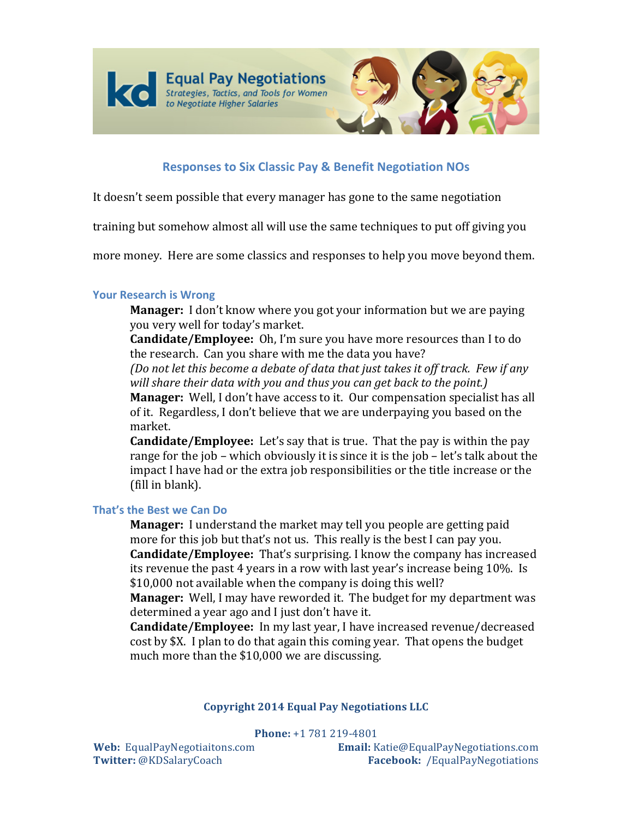



# **Responses to Six Classic Pay & Benefit Negotiation NOs**

It doesn't seem possible that every manager has gone to the same negotiation

training but somehow almost all will use the same techniques to put off giving you

more money. Here are some classics and responses to help you move beyond them.

## **Your Research is Wrong**

**Manager:** I don't know where you got your information but we are paying you very well for today's market.

Candidate/Employee: Oh, I'm sure you have more resources than I to do the research. Can you share with me the data you have?

(Do not let this become a debate of data that just takes it off track. Few if any will share their data with you and thus you can get back to the point.)

**Manager:** Well, I don't have access to it. Our compensation specialist has all of it. Regardless, I don't believe that we are underpaying you based on the market.

**Candidate/Employee:** Let's say that is true. That the pay is within the pay range for the job – which obviously it is since it is the job – let's talk about the impact I have had or the extra job responsibilities or the title increase or the (fill in blank).

## That's the Best we Can Do

**Manager:** I understand the market may tell you people are getting paid more for this job but that's not us. This really is the best I can pay you. **Candidate/Employee:** That's surprising. I know the company has increased its revenue the past 4 years in a row with last year's increase being 10%. Is \$10,000 not available when the company is doing this well?

**Manager:** Well, I may have reworded it. The budget for my department was determined a year ago and I just don't have it.

Candidate/Emplovee: In my last year, I have increased revenue/decreased cost by \$X. I plan to do that again this coming year. That opens the budget much more than the \$10,000 we are discussing.

## **Copyright 2014 Equal Pay Negotiations LLC**

Phone: +1 781 219-4801

Web: EqualPayNegotiaitons.com Twitter: @KDSalaryCoach

Email: Katie@EqualPayNegotiations.com Facebook: /EqualPayNegotiations